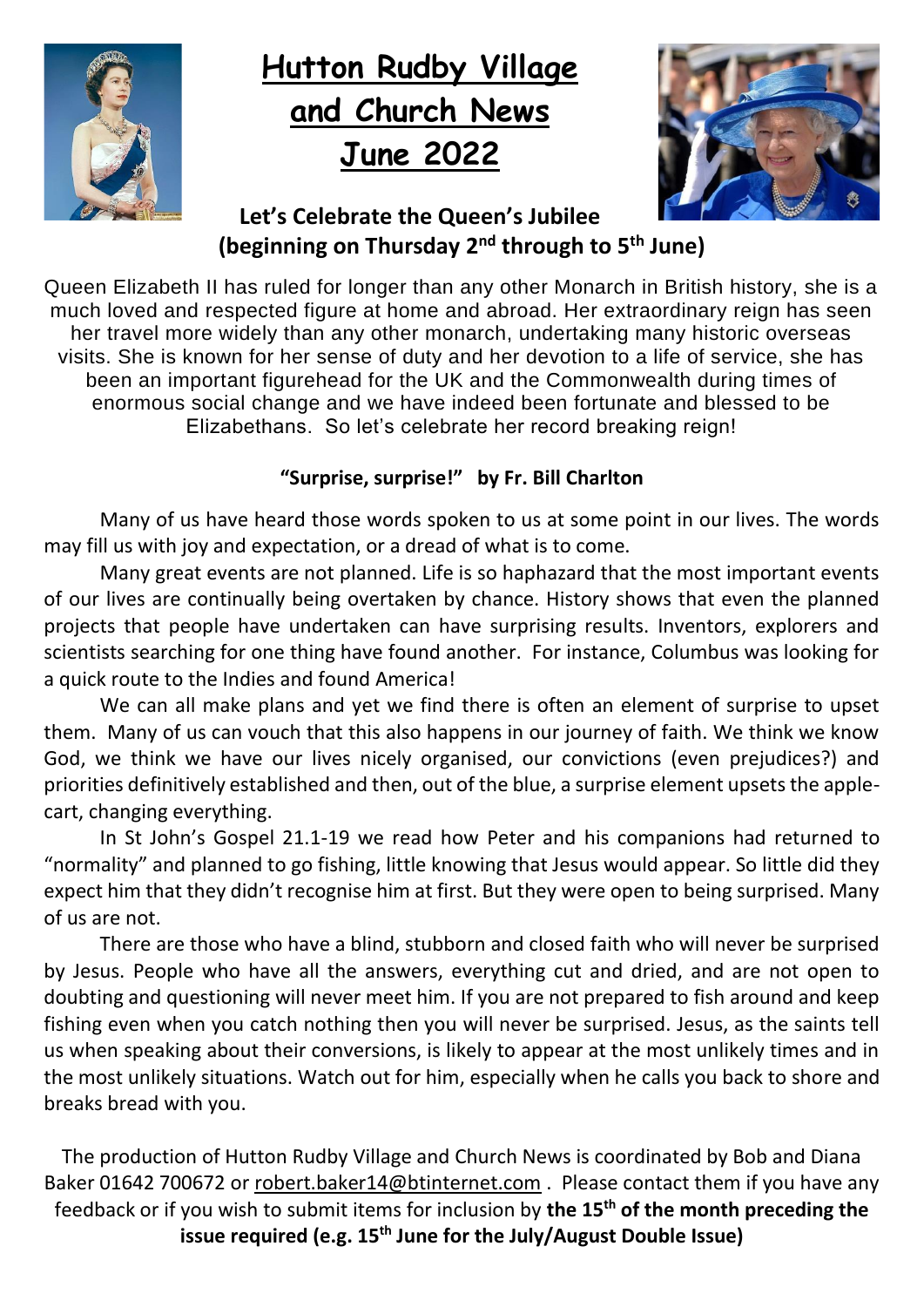

# **Hutton Rudby Village and Church News June 2022**



#### **Let's Celebrate the Queen's Jubilee (beginning on Thursday 2nd through to 5th June)**

Queen Elizabeth II has ruled for longer than any other Monarch in British history, she is a much loved and respected figure at home and abroad. Her extraordinary reign has seen her travel more widely than any other monarch, undertaking many historic overseas visits. She is known for her sense of duty and her devotion to a life of service, she has been an important figurehead for the UK and the Commonwealth during times of enormous social change and we have indeed been fortunate and blessed to be Elizabethans. So let's celebrate her record breaking reign!

#### **"Surprise, surprise!" by Fr. Bill Charlton**

Many of us have heard those words spoken to us at some point in our lives. The words may fill us with joy and expectation, or a dread of what is to come.

Many great events are not planned. Life is so haphazard that the most important events of our lives are continually being overtaken by chance. History shows that even the planned projects that people have undertaken can have surprising results. Inventors, explorers and scientists searching for one thing have found another. For instance, Columbus was looking for a quick route to the Indies and found America!

We can all make plans and yet we find there is often an element of surprise to upset them. Many of us can vouch that this also happens in our journey of faith. We think we know God, we think we have our lives nicely organised, our convictions (even prejudices?) and priorities definitively established and then, out of the blue, a surprise element upsets the applecart, changing everything.

In St John's Gospel 21.1-19 we read how Peter and his companions had returned to "normality" and planned to go fishing, little knowing that Jesus would appear. So little did they expect him that they didn't recognise him at first. But they were open to being surprised. Many of us are not.

There are those who have a blind, stubborn and closed faith who will never be surprised by Jesus. People who have all the answers, everything cut and dried, and are not open to doubting and questioning will never meet him. If you are not prepared to fish around and keep fishing even when you catch nothing then you will never be surprised. Jesus, as the saints tell us when speaking about their conversions, is likely to appear at the most unlikely times and in the most unlikely situations. Watch out for him, especially when he calls you back to shore and breaks bread with you.

The production of Hutton Rudby Village and Church News is coordinated by Bob and Diana Baker 01642 700672 or [robert.baker14@btinternet.com](mailto:robert.baker14@btinternet.com) . Please contact them if you have any feedback or if you wish to submit items for inclusion by **the 15th of the month preceding the issue required (e.g. 15th June for the July/August Double Issue)**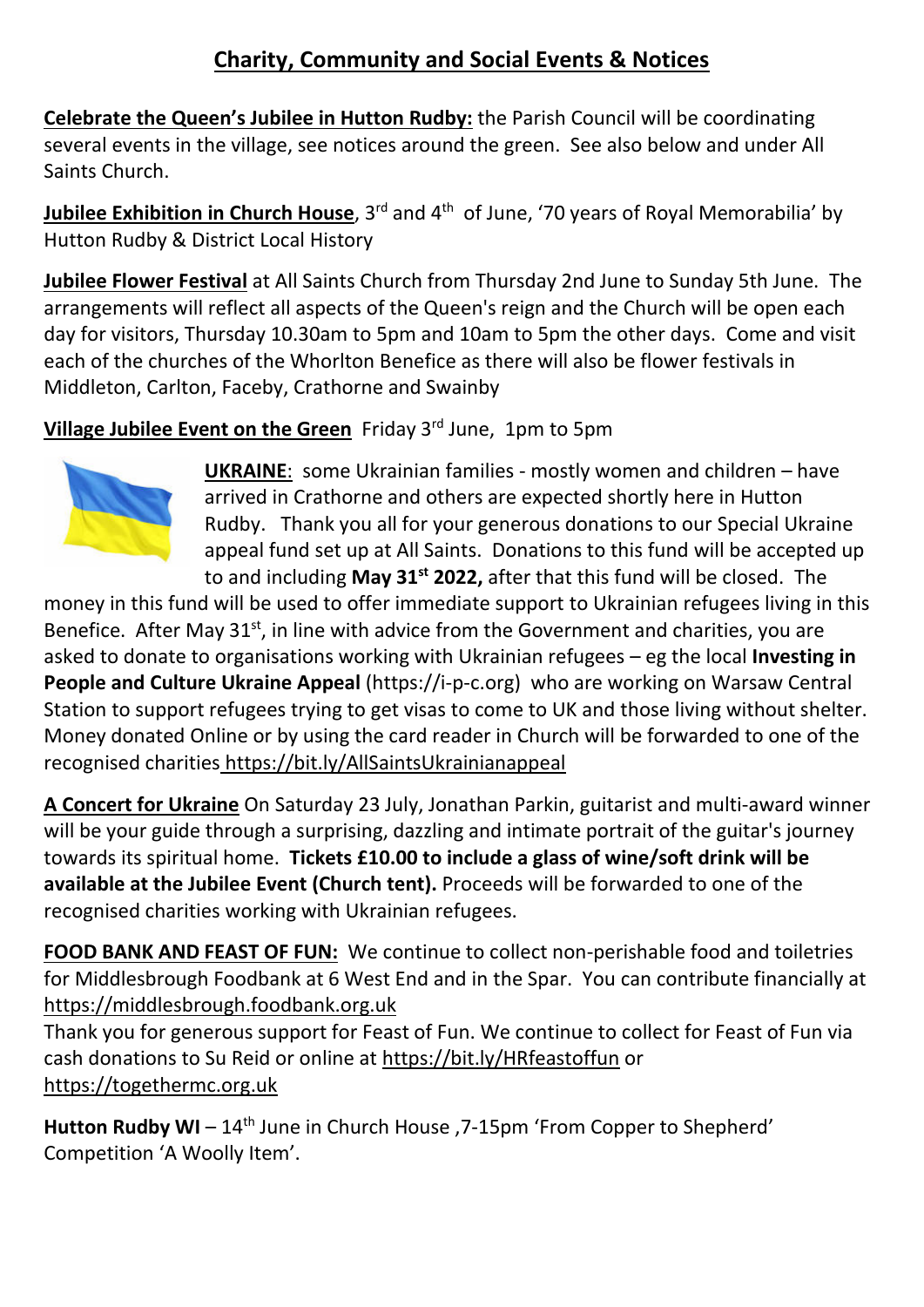#### **Charity, Community and Social Events & Notices**

**Celebrate the Queen's Jubilee in Hutton Rudby:** the Parish Council will be coordinating several events in the village, see notices around the green. See also below and under All Saints Church.

**Jubilee Exhibition in Church House**, 3<sup>rd</sup> and 4<sup>th</sup> of June, '70 years of Royal Memorabilia' by Hutton Rudby & District Local History

**Jubilee Flower Festival** at All Saints Church from Thursday 2nd June to Sunday 5th June. The arrangements will reflect all aspects of the Queen's reign and the Church will be open each day for visitors, Thursday 10.30am to 5pm and 10am to 5pm the other days. Come and visit each of the churches of the Whorlton Benefice as there will also be flower festivals in Middleton, Carlton, Faceby, Crathorne and Swainby

**Village Jubilee Event on the Green** Friday 3rd June, 1pm to 5pm



**UKRAINE**:some Ukrainian families - mostly women and children – have arrived in Crathorne and others are expected shortly here in Hutton Rudby. Thank you all for your generous donations to our Special Ukraine appeal fund set up at All Saints. Donations to this fund will be accepted up to and including **May 31st 2022,** after that this fund will be closed. The

money in this fund will be used to offer immediate support to Ukrainian refugees living in this Benefice. After May  $31^{st}$ , in line with advice from the Government and charities, you are asked to donate to organisations working with Ukrainian refugees – eg the local **Investing in People and Culture Ukraine Appeal** (https://i-p-c.org) who are working on Warsaw Central Station to support refugees trying to get visas to come to UK and those living without shelter. Money donated Online or by using the card reader in Church will be forwarded to one of the recognised charities <https://bit.ly/AllSaintsUkrainianappeal>

**A Concert for Ukraine** On Saturday 23 July, Jonathan Parkin, guitarist and multi-award winner will be your guide through a surprising, dazzling and intimate portrait of the guitar's journey towards its spiritual home. **Tickets £10.00 to include a glass of wine/soft drink will be available at the Jubilee Event (Church tent).** Proceeds will be forwarded to one of the recognised charities working with Ukrainian refugees.

**FOOD BANK AND FEAST OF FUN:** We continue to collect non-perishable food and toiletries for Middlesbrough Foodbank at 6 West End and in the Spar. You can contribute financially at [https://middlesbrough.foodbank.org.uk](https://middlesbrough.foodbank.org.uk/)

Thank you for generous support for Feast of Fun. We continue to collect for Feast of Fun via cash donations to Su Reid or online at<https://bit.ly/HRfeastoffun> or [https://togethermc.org.uk](https://togethermc.org.uk/) 

Hutton Rudby WI – 14<sup>th</sup> June in Church House , 7-15pm 'From Copper to Shepherd' Competition 'A Woolly Item'.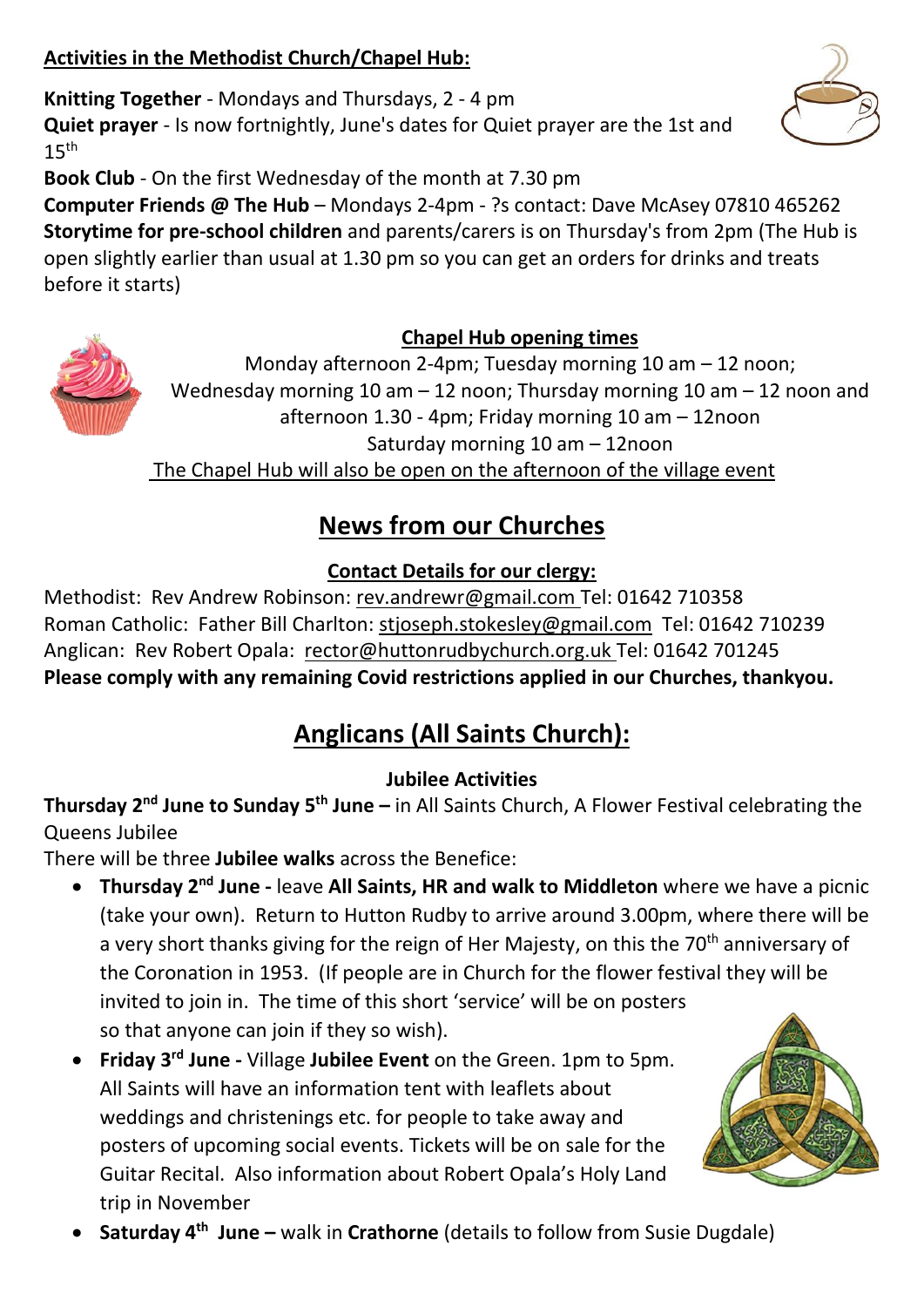#### **Activities in the Methodist Church/Chapel Hub:**

**Knitting Together** - Mondays and Thursdays, 2 - 4 pm **Quiet prayer** - Is now fortnightly, June's dates for Quiet prayer are the 1st and  $15<sup>th</sup>$ 

**Book Club** - On the first Wednesday of the month at 7.30 pm

**Computer Friends @ The Hub** – Mondays 2-4pm - ?s contact: Dave McAsey 07810 465262 **Storytime for pre-school children** and parents/carers is on Thursday's from 2pm (The Hub is open slightly earlier than usual at 1.30 pm so you can get an orders for drinks and treats before it starts)

#### **Chapel Hub opening times**

Monday afternoon 2-4pm; Tuesday morning 10 am – 12 noon; Wednesday morning 10 am – 12 noon; Thursday morning 10 am – 12 noon and afternoon 1.30 - 4pm; Friday morning 10 am – 12noon Saturday morning 10 am – 12noon The Chapel Hub will also be open on the afternoon of the village event

### **News from our Churches**

#### **Contact Details for our clergy:**

Methodist: Rev Andrew Robinson: [rev.andrewr@gmail.com](mailto:rev.andrewr@gmail.com) Tel: 01642 710358 Roman Catholic: Father Bill Charlton: [stjoseph.stokesley@gmail.com](mailto:stjoseph.stokesley@gmail.com) Tel: 01642 710239 Anglican: Rev Robert Opala: [rector@huttonrudbychurch.org.uk](mailto:rector@huttonrudbychurch.org.uk) Tel: 01642 701245 **Please comply with any remaining Covid restrictions applied in our Churches, thankyou.**

### **Anglicans (All Saints Church):**

#### **Jubilee Activities**

**Thursday 2nd June to Sunday 5th June –** in All Saints Church, A Flower Festival celebrating the Queens Jubilee

There will be three **Jubilee walks** across the Benefice:

- **Thursday 2nd June -** leave **All Saints, HR and walk to Middleton** where we have a picnic (take your own). Return to Hutton Rudby to arrive around 3.00pm, where there will be a very short thanks giving for the reign of Her Majesty, on this the 70<sup>th</sup> anniversary of the Coronation in 1953. (If people are in Church for the flower festival they will be invited to join in. The time of this short 'service' will be on posters so that anyone can join if they so wish).
- **Friday 3rd June -** Village **Jubilee Event** on the Green. 1pm to 5pm. All Saints will have an information tent with leaflets about weddings and christenings etc. for people to take away and posters of upcoming social events. Tickets will be on sale for the Guitar Recital. Also information about Robert Opala's Holy Land trip in November
- **Saturday 4<sup>th</sup> June -** walk in Crathorne (details to follow from Susie Dugdale)